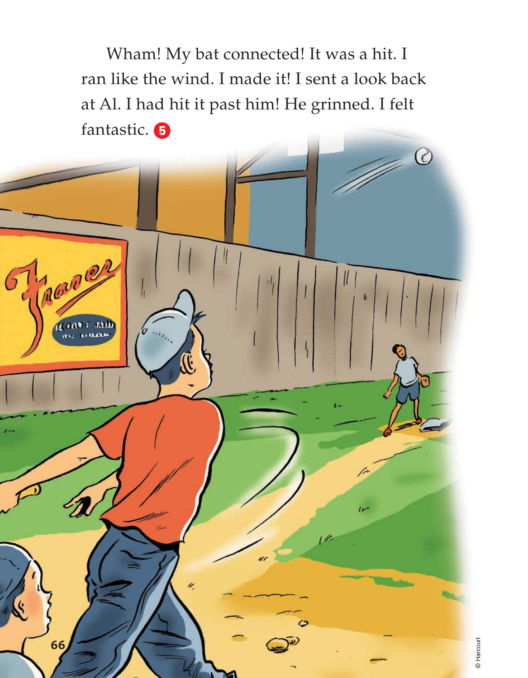Wham! My bat connected! It was a hit. I ran like the wind. I made it! I sent a look back at Al. I had hit it past him! He grinned. I felt fantastic. 5



© Harcourt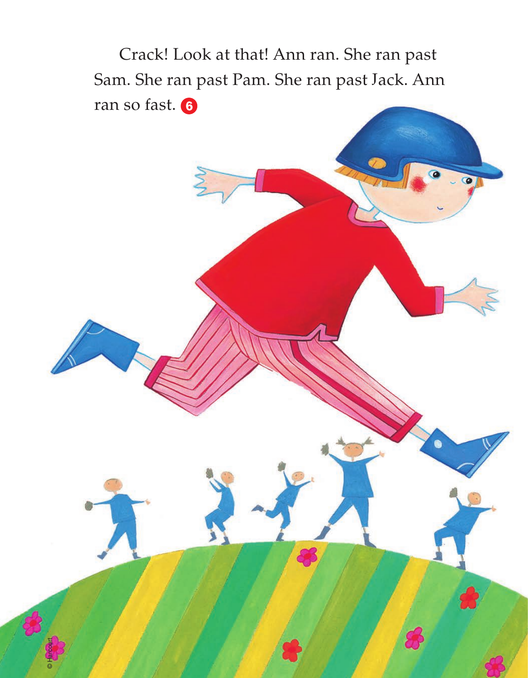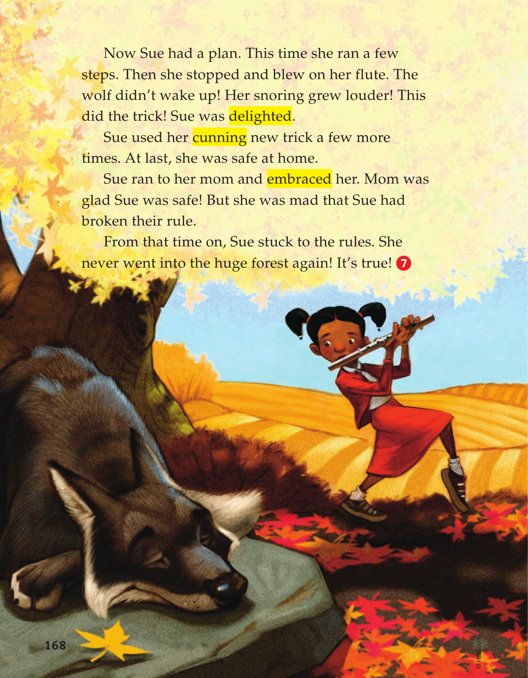Now Sue had a plan. This time she ran a few steps. Then she stopped and blew on her flute. The wolf didn't wake up! Her snoring grew louder! This did the trick! Sue was delighted.

Sue used her cunning new trick a few more times. At last, she was safe at home.

Sue ran to her mom and embraced her. Mom was glad Sue was safe! But she was mad that Sue had broken their rule.

© Harcourt

From that time on, Sue stuck to the rules. She never went into the huge forest again! It's true!